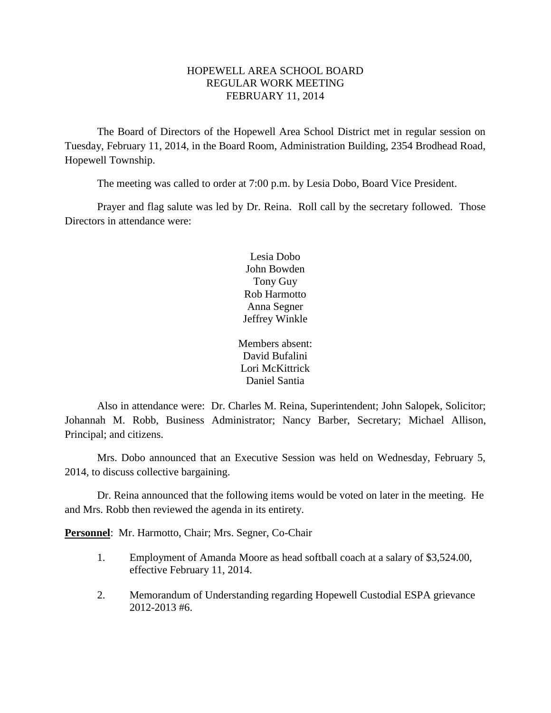### HOPEWELL AREA SCHOOL BOARD REGULAR WORK MEETING FEBRUARY 11, 2014

The Board of Directors of the Hopewell Area School District met in regular session on Tuesday, February 11, 2014, in the Board Room, Administration Building, 2354 Brodhead Road, Hopewell Township.

The meeting was called to order at 7:00 p.m. by Lesia Dobo, Board Vice President.

Prayer and flag salute was led by Dr. Reina. Roll call by the secretary followed. Those Directors in attendance were:

> Lesia Dobo John Bowden Tony Guy Rob Harmotto Anna Segner Jeffrey Winkle

Members absent: David Bufalini Lori McKittrick Daniel Santia

Also in attendance were: Dr. Charles M. Reina, Superintendent; John Salopek, Solicitor; Johannah M. Robb, Business Administrator; Nancy Barber, Secretary; Michael Allison, Principal; and citizens.

Mrs. Dobo announced that an Executive Session was held on Wednesday, February 5, 2014, to discuss collective bargaining.

Dr. Reina announced that the following items would be voted on later in the meeting. He and Mrs. Robb then reviewed the agenda in its entirety.

**Personnel**: Mr. Harmotto, Chair; Mrs. Segner, Co-Chair

- 1. Employment of Amanda Moore as head softball coach at a salary of \$3,524.00, effective February 11, 2014.
- 2. Memorandum of Understanding regarding Hopewell Custodial ESPA grievance 2012-2013 #6.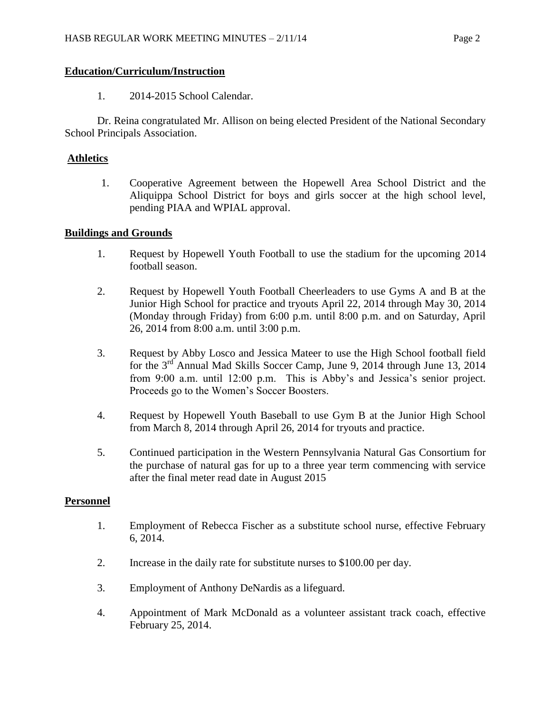### **Education/Curriculum/Instruction**

1. 2014-2015 School Calendar.

Dr. Reina congratulated Mr. Allison on being elected President of the National Secondary School Principals Association.

## **Athletics**

1. Cooperative Agreement between the Hopewell Area School District and the Aliquippa School District for boys and girls soccer at the high school level, pending PIAA and WPIAL approval.

## **Buildings and Grounds**

- 1. Request by Hopewell Youth Football to use the stadium for the upcoming 2014 football season.
- 2. Request by Hopewell Youth Football Cheerleaders to use Gyms A and B at the Junior High School for practice and tryouts April 22, 2014 through May 30, 2014 (Monday through Friday) from 6:00 p.m. until 8:00 p.m. and on Saturday, April 26, 2014 from 8:00 a.m. until 3:00 p.m.
- 3. Request by Abby Losco and Jessica Mateer to use the High School football field for the 3rd Annual Mad Skills Soccer Camp, June 9, 2014 through June 13, 2014 from 9:00 a.m. until 12:00 p.m. This is Abby's and Jessica's senior project. Proceeds go to the Women's Soccer Boosters.
- 4. Request by Hopewell Youth Baseball to use Gym B at the Junior High School from March 8, 2014 through April 26, 2014 for tryouts and practice.
- 5. Continued participation in the Western Pennsylvania Natural Gas Consortium for the purchase of natural gas for up to a three year term commencing with service after the final meter read date in August 2015

### **Personnel**

- 1. Employment of Rebecca Fischer as a substitute school nurse, effective February 6, 2014.
- 2. Increase in the daily rate for substitute nurses to \$100.00 per day.
- 3. Employment of Anthony DeNardis as a lifeguard.
- 4. Appointment of Mark McDonald as a volunteer assistant track coach, effective February 25, 2014.